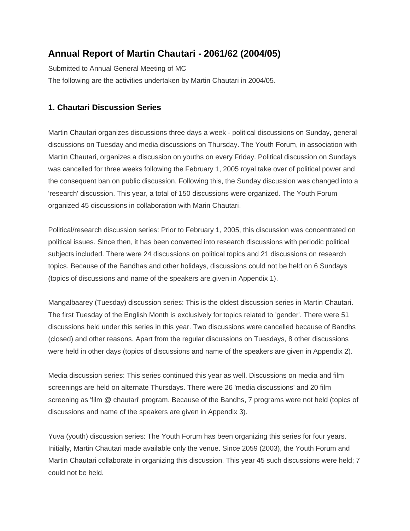# **Annual Report of Martin Chautari - 2061/62 (2004/05)**

Submitted to Annual General Meeting of MC The following are the activities undertaken by Martin Chautari in 2004/05.

## **1. Chautari Discussion Series**

Martin Chautari organizes discussions three days a week - political discussions on Sunday, general discussions on Tuesday and media discussions on Thursday. The Youth Forum, in association with Martin Chautari, organizes a discussion on youths on every Friday. Political discussion on Sundays was cancelled for three weeks following the February 1, 2005 royal take over of political power and the consequent ban on public discussion. Following this, the Sunday discussion was changed into a 'research' discussion. This year, a total of 150 discussions were organized. The Youth Forum organized 45 discussions in collaboration with Marin Chautari.

Political/research discussion series: Prior to February 1, 2005, this discussion was concentrated on political issues. Since then, it has been converted into research discussions with periodic political subjects included. There were 24 discussions on political topics and 21 discussions on research topics. Because of the Bandhas and other holidays, discussions could not be held on 6 Sundays (topics of discussions and name of the speakers are given in Appendix 1).

Mangalbaarey (Tuesday) discussion series: This is the oldest discussion series in Martin Chautari. The first Tuesday of the English Month is exclusively for topics related to 'gender'. There were 51 discussions held under this series in this year. Two discussions were cancelled because of Bandhs (closed) and other reasons. Apart from the regular discussions on Tuesdays, 8 other discussions were held in other days (topics of discussions and name of the speakers are given in Appendix 2).

Media discussion series: This series continued this year as well. Discussions on media and film screenings are held on alternate Thursdays. There were 26 'media discussions' and 20 film screening as 'film @ chautari' program. Because of the Bandhs, 7 programs were not held (topics of discussions and name of the speakers are given in Appendix 3).

Yuva (youth) discussion series: The Youth Forum has been organizing this series for four years. Initially, Martin Chautari made available only the venue. Since 2059 (2003), the Youth Forum and Martin Chautari collaborate in organizing this discussion. This year 45 such discussions were held; 7 could not be held.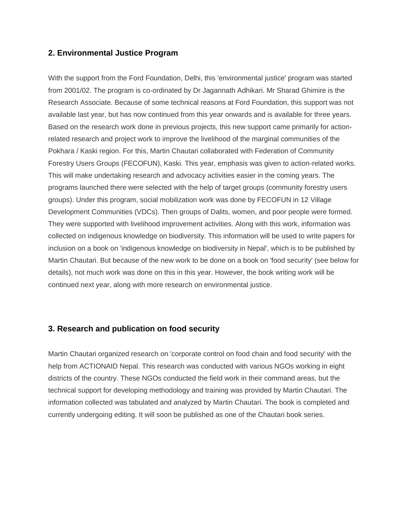## **2. Environmental Justice Program**

With the support from the Ford Foundation, Delhi, this 'environmental justice' program was started from 2001/02. The program is co-ordinated by Dr Jagannath Adhikari. Mr Sharad Ghimire is the Research Associate. Because of some technical reasons at Ford Foundation, this support was not available last year, but has now continued from this year onwards and is available for three years. Based on the research work done in previous projects, this new support came primarily for actionrelated research and project work to improve the livelihood of the marginal communities of the Pokhara / Kaski region. For this, Martin Chautari collaborated with Federation of Community Forestry Users Groups (FECOFUN), Kaski. This year, emphasis was given to action-related works. This will make undertaking research and advocacy activities easier in the coming years. The programs launched there were selected with the help of target groups (community forestry users groups). Under this program, social mobilization work was done by FECOFUN in 12 Village Development Communities (VDCs). Then groups of Dalits, women, and poor people were formed. They were supported with livelihood improvement activities. Along with this work, information was collected on indigenous knowledge on biodiversity. This information will be used to write papers for inclusion on a book on 'indigenous knowledge on biodiversity in Nepal', which is to be published by Martin Chautari. But because of the new work to be done on a book on 'food security' (see below for details), not much work was done on this in this year. However, the book writing work will be continued next year, along with more research on environmental justice.

## **3. Research and publication on food security**

Martin Chautari organized research on 'corporate control on food chain and food security' with the help from ACTIONAID Nepal. This research was conducted with various NGOs working in eight districts of the country. These NGOs conducted the field work in their command areas, but the technical support for developing methodology and training was provided by Martin Chautari. The information collected was tabulated and analyzed by Martin Chautari. The book is completed and currently undergoing editing. It will soon be published as one of the Chautari book series.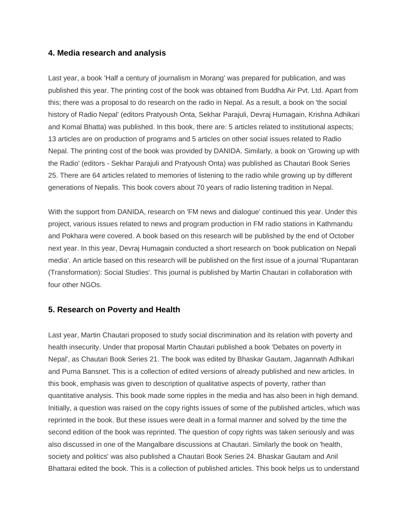## **4. Media research and analysis**

Last year, a book 'Half a century of journalism in Morang' was prepared for publication, and was published this year. The printing cost of the book was obtained from Buddha Air Pvt. Ltd. Apart from this; there was a proposal to do research on the radio in Nepal. As a result, a book on 'the social history of Radio Nepal' (editors Pratyoush Onta, Sekhar Parajuli, Devraj Humagain, Krishna Adhikari and Komal Bhatta) was published. In this book, there are: 5 articles related to institutional aspects; 13 articles are on production of programs and 5 articles on other social issues related to Radio Nepal. The printing cost of the book was provided by DANIDA. Similarly, a book on 'Growing up with the Radio' (editors - Sekhar Parajuli and Pratyoush Onta) was published as Chautari Book Series 25. There are 64 articles related to memories of listening to the radio while growing up by different generations of Nepalis. This book covers about 70 years of radio listening tradition in Nepal.

With the support from DANIDA, research on 'FM news and dialogue' continued this year. Under this project, various issues related to news and program production in FM radio stations in Kathmandu and Pokhara were covered. A book based on this research will be published by the end of October next year. In this year, Devraj Humagain conducted a short research on 'book publication on Nepali media'. An article based on this research will be published on the first issue of a journal 'Rupantaran (Transformation): Social Studies'. This journal is published by Martin Chautari in collaboration with four other NGOs.

## **5. Research on Poverty and Health**

Last year, Martin Chautari proposed to study social discrimination and its relation with poverty and health insecurity. Under that proposal Martin Chautari published a book 'Debates on poverty in Nepal', as Chautari Book Series 21. The book was edited by Bhaskar Gautam, Jagannath Adhikari and Purna Bansnet. This is a collection of edited versions of already published and new articles. In this book, emphasis was given to description of qualitative aspects of poverty, rather than quantitative analysis. This book made some ripples in the media and has also been in high demand. Initially, a question was raised on the copy rights issues of some of the published articles, which was reprinted in the book. But these issues were dealt in a formal manner and solved by the time the second edition of the book was reprinted. The question of copy rights was taken seriously and was also discussed in one of the Mangalbare discussions at Chautari. Similarly the book on 'health, society and politics' was also published a Chautari Book Series 24. Bhaskar Gautam and Anil Bhattarai edited the book. This is a collection of published articles. This book helps us to understand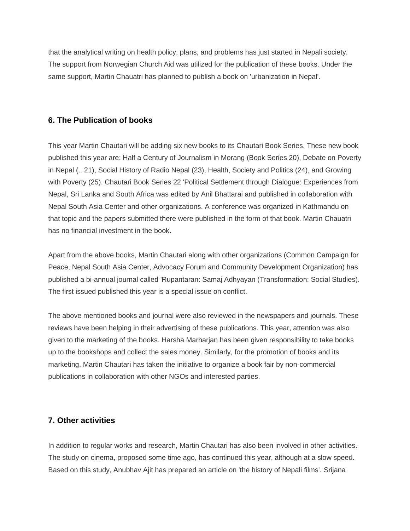that the analytical writing on health policy, plans, and problems has just started in Nepali society. The support from Norwegian Church Aid was utilized for the publication of these books. Under the same support, Martin Chauatri has planned to publish a book on 'urbanization in Nepal'.

## **6. The Publication of books**

This year Martin Chautari will be adding six new books to its Chautari Book Series. These new book published this year are: Half a Century of Journalism in Morang (Book Series 20), Debate on Poverty in Nepal (.. 21), Social History of Radio Nepal (23), Health, Society and Politics (24), and Growing with Poverty (25). Chautari Book Series 22 'Political Settlement through Dialogue: Experiences from Nepal, Sri Lanka and South Africa was edited by Anil Bhattarai and published in collaboration with Nepal South Asia Center and other organizations. A conference was organized in Kathmandu on that topic and the papers submitted there were published in the form of that book. Martin Chauatri has no financial investment in the book.

Apart from the above books, Martin Chautari along with other organizations (Common Campaign for Peace, Nepal South Asia Center, Advocacy Forum and Community Development Organization) has published a bi-annual journal called 'Rupantaran: Samaj Adhyayan (Transformation: Social Studies). The first issued published this year is a special issue on conflict.

The above mentioned books and journal were also reviewed in the newspapers and journals. These reviews have been helping in their advertising of these publications. This year, attention was also given to the marketing of the books. Harsha Marharjan has been given responsibility to take books up to the bookshops and collect the sales money. Similarly, for the promotion of books and its marketing, Martin Chautari has taken the initiative to organize a book fair by non-commercial publications in collaboration with other NGOs and interested parties.

## **7. Other activities**

In addition to regular works and research, Martin Chautari has also been involved in other activities. The study on cinema, proposed some time ago, has continued this year, although at a slow speed. Based on this study, Anubhav Ajit has prepared an article on 'the history of Nepali films'. Srijana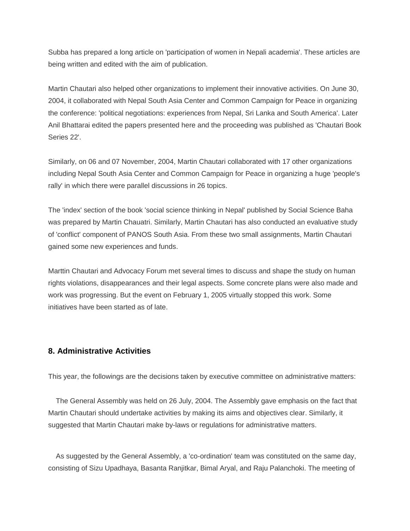Subba has prepared a long article on 'participation of women in Nepali academia'. These articles are being written and edited with the aim of publication.

Martin Chautari also helped other organizations to implement their innovative activities. On June 30, 2004, it collaborated with Nepal South Asia Center and Common Campaign for Peace in organizing the conference: 'political negotiations: experiences from Nepal, Sri Lanka and South America'. Later Anil Bhattarai edited the papers presented here and the proceeding was published as 'Chautari Book Series 22'.

Similarly, on 06 and 07 November, 2004, Martin Chautari collaborated with 17 other organizations including Nepal South Asia Center and Common Campaign for Peace in organizing a huge 'people's rally' in which there were parallel discussions in 26 topics.

The 'index' section of the book 'social science thinking in Nepal' published by Social Science Baha was prepared by Martin Chauatri. Similarly, Martin Chautari has also conducted an evaluative study of 'conflict' component of PANOS South Asia. From these two small assignments, Martin Chautari gained some new experiences and funds.

Marttin Chautari and Advocacy Forum met several times to discuss and shape the study on human rights violations, disappearances and their legal aspects. Some concrete plans were also made and work was progressing. But the event on February 1, 2005 virtually stopped this work. Some initiatives have been started as of late.

## **8. Administrative Activities**

This year, the followings are the decisions taken by executive committee on administrative matters:

 The General Assembly was held on 26 July, 2004. The Assembly gave emphasis on the fact that Martin Chautari should undertake activities by making its aims and objectives clear. Similarly, it suggested that Martin Chautari make by-laws or regulations for administrative matters.

 As suggested by the General Assembly, a 'co-ordination' team was constituted on the same day, consisting of Sizu Upadhaya, Basanta Ranjitkar, Bimal Aryal, and Raju Palanchoki. The meeting of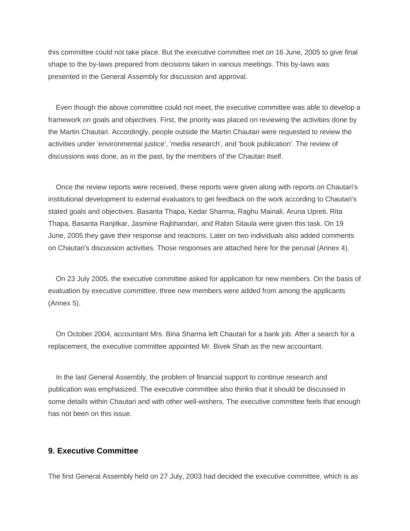this committee could not take place. But the executive committee met on 16 June, 2005 to give final shape to the by-laws prepared from decisions taken in various meetings. This by-laws was presented in the General Assembly for discussion and approval.

 Even though the above committee could not meet, the executive committee was able to develop a framework on goals and objectives. First, the priority was placed on reviewing the activities done by the Martin Chautari. Accordingly, people outside the Martin Chautari were requested to review the activities under 'environmental justice', 'media research', and 'book publication'. The review of discussions was done, as in the past, by the members of the Chautari itself.

 Once the review reports were received, these reports were given along with reports on Chautari's institutional development to external evaluators to get feedback on the work according to Chautari's stated goals and objectives. Basanta Thapa, Kedar Sharma, Raghu Mainali, Aruna Upreti, Rita Thapa, Basanta Ranjitkar, Jasmine Rajbhandari, and Rabin Sitaula were given this task. On 19 June, 2005 they gave their response and reactions. Later on two individuals also added comments on Chautari's discussion activities. Those responses are attached here for the perusal (Annex 4).

 On 23 July 2005, the executive committee asked for application for new members. On the basis of evaluation by executive committee, three new members were added from among the applicants (Annex 5).

 On October 2004, accountant Mrs. Bina Sharma left Chautari for a bank job. After a search for a replacement, the executive committee appointed Mr. Bivek Shah as the new accountant.

 In the last General Assembly, the problem of financial support to continue research and publication was emphasized. The executive committee also thinks that it should be discussed in some details within Chautari and with other well-wishers. The executive committee feels that enough has not been on this issue.

## **9. Executive Committee**

The first General Assembly held on 27 July, 2003 had decided the executive committee, which is as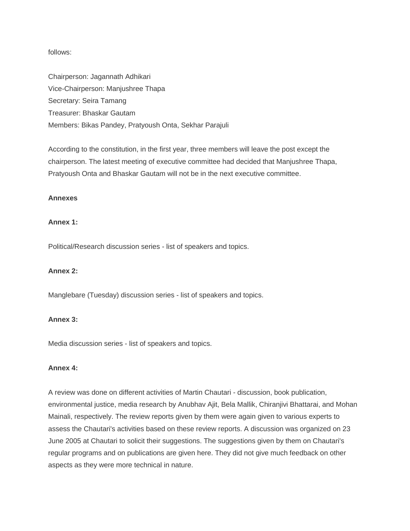follows:

Chairperson: Jagannath Adhikari Vice-Chairperson: Manjushree Thapa Secretary: Seira Tamang Treasurer: Bhaskar Gautam Members: Bikas Pandey, Pratyoush Onta, Sekhar Parajuli

According to the constitution, in the first year, three members will leave the post except the chairperson. The latest meeting of executive committee had decided that Manjushree Thapa, Pratyoush Onta and Bhaskar Gautam will not be in the next executive committee.

#### **Annexes**

#### **Annex 1:**

Political/Research discussion series - list of speakers and topics.

#### **Annex 2:**

Manglebare (Tuesday) discussion series - list of speakers and topics.

#### **Annex 3:**

Media discussion series - list of speakers and topics.

#### **Annex 4:**

A review was done on different activities of Martin Chautari - discussion, book publication, environmental justice, media research by Anubhav Ajit, Bela Mallik, Chiranjivi Bhattarai, and Mohan Mainali, respectively. The review reports given by them were again given to various experts to assess the Chautari's activities based on these review reports. A discussion was organized on 23 June 2005 at Chautari to solicit their suggestions. The suggestions given by them on Chautari's regular programs and on publications are given here. They did not give much feedback on other aspects as they were more technical in nature.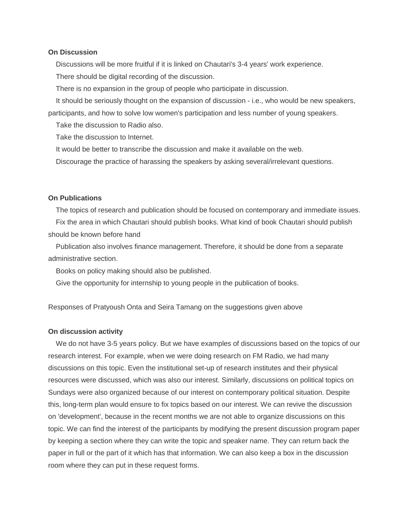#### **On Discussion**

Discussions will be more fruitful if it is linked on Chautari's 3-4 years' work experience.

There should be digital recording of the discussion.

There is no expansion in the group of people who participate in discussion.

It should be seriously thought on the expansion of discussion - i.e., who would be new speakers,

participants, and how to solve low women's participation and less number of young speakers.

Take the discussion to Radio also.

Take the discussion to Internet.

It would be better to transcribe the discussion and make it available on the web.

Discourage the practice of harassing the speakers by asking several/irrelevant questions.

#### **On Publications**

The topics of research and publication should be focused on contemporary and immediate issues.

 Fix the area in which Chautari should publish books. What kind of book Chautari should publish should be known before hand

 Publication also involves finance management. Therefore, it should be done from a separate administrative section.

Books on policy making should also be published.

Give the opportunity for internship to young people in the publication of books.

Responses of Pratyoush Onta and Seira Tamang on the suggestions given above

#### **On discussion activity**

 We do not have 3-5 years policy. But we have examples of discussions based on the topics of our research interest. For example, when we were doing research on FM Radio, we had many discussions on this topic. Even the institutional set-up of research institutes and their physical resources were discussed, which was also our interest. Similarly, discussions on political topics on Sundays were also organized because of our interest on contemporary political situation. Despite this, long-term plan would ensure to fix topics based on our interest. We can revive the discussion on 'development', because in the recent months we are not able to organize discussions on this topic. We can find the interest of the participants by modifying the present discussion program paper by keeping a section where they can write the topic and speaker name. They can return back the paper in full or the part of it which has that information. We can also keep a box in the discussion room where they can put in these request forms.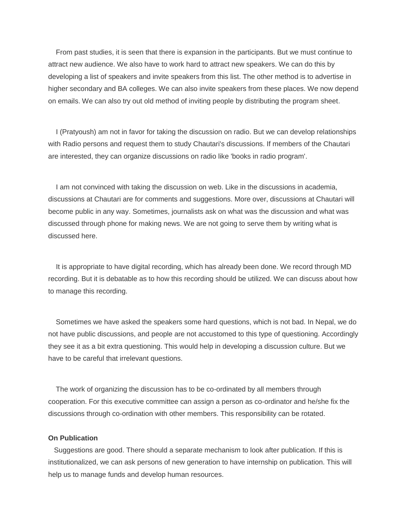From past studies, it is seen that there is expansion in the participants. But we must continue to attract new audience. We also have to work hard to attract new speakers. We can do this by developing a list of speakers and invite speakers from this list. The other method is to advertise in higher secondary and BA colleges. We can also invite speakers from these places. We now depend on emails. We can also try out old method of inviting people by distributing the program sheet.

 I (Pratyoush) am not in favor for taking the discussion on radio. But we can develop relationships with Radio persons and request them to study Chautari's discussions. If members of the Chautari are interested, they can organize discussions on radio like 'books in radio program'.

 I am not convinced with taking the discussion on web. Like in the discussions in academia, discussions at Chautari are for comments and suggestions. More over, discussions at Chautari will become public in any way. Sometimes, journalists ask on what was the discussion and what was discussed through phone for making news. We are not going to serve them by writing what is discussed here.

 It is appropriate to have digital recording, which has already been done. We record through MD recording. But it is debatable as to how this recording should be utilized. We can discuss about how to manage this recording.

 Sometimes we have asked the speakers some hard questions, which is not bad. In Nepal, we do not have public discussions, and people are not accustomed to this type of questioning. Accordingly they see it as a bit extra questioning. This would help in developing a discussion culture. But we have to be careful that irrelevant questions.

 The work of organizing the discussion has to be co-ordinated by all members through cooperation. For this executive committee can assign a person as co-ordinator and he/she fix the discussions through co-ordination with other members. This responsibility can be rotated.

#### **On Publication**

 Suggestions are good. There should a separate mechanism to look after publication. If this is institutionalized, we can ask persons of new generation to have internship on publication. This will help us to manage funds and develop human resources.